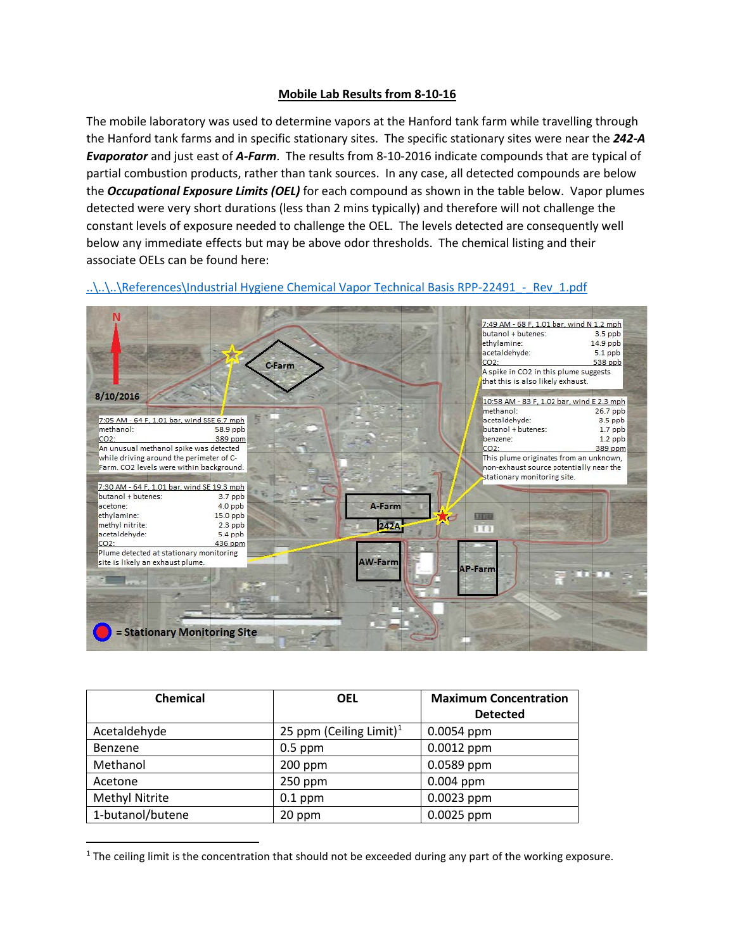## **Mobile Lab Results from 8-10-16**

The mobile laboratory was used to determine vapors at the Hanford tank farm while travelling through the Hanford tank farms and in specific stationary sites. The specific stationary sites were near the *242-A Evaporator* and just east of *A-Farm*. The results from 8-10-2016 indicate compounds that are typical of partial combustion products, rather than tank sources. In any case, all detected compounds are below the *Occupational Exposure Limits (OEL)* for each compound as shown in the table below. Vapor plumes detected were very short durations (less than 2 mins typically) and therefore will not challenge the constant levels of exposure needed to challenge the OEL. The levels detected are consequently well below any immediate effects but may be above odor thresholds. The chemical listing and their associate OELs can be found here:



..\..\..\References\Industrial Hygiene Chemical Vapor Technical Basis RPP-22491 - Rev\_1.pdf

| Chemical         | <b>OEL</b>                          | <b>Maximum Concentration</b> |
|------------------|-------------------------------------|------------------------------|
|                  |                                     | <b>Detected</b>              |
| Acetaldehyde     | 25 ppm (Ceiling Limit) <sup>1</sup> | $0.0054$ ppm                 |
| Benzene          | $0.5$ ppm                           | $0.0012$ ppm                 |
| Methanol         | $200$ ppm                           | 0.0589 ppm                   |
| Acetone          | 250 ppm                             | $0.004$ ppm                  |
| Methyl Nitrite   | $0.1$ ppm                           | 0.0023 ppm                   |
| 1-butanol/butene | 20 ppm                              | 0.0025 ppm                   |

<span id="page-0-0"></span> $1$  The ceiling limit is the concentration that should not be exceeded during any part of the working exposure.